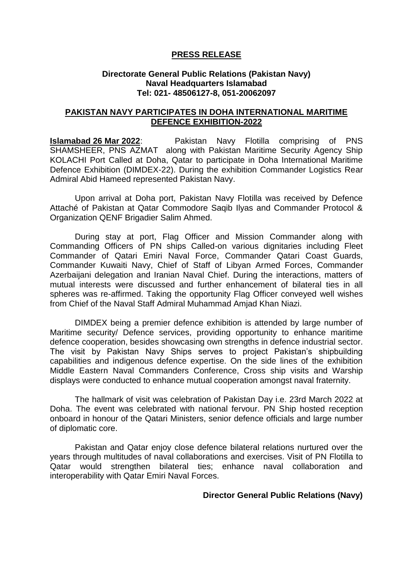## **PRESS RELEASE**

## **Directorate General Public Relations (Pakistan Navy) Naval Headquarters Islamabad Tel: 021- 48506127-8, 051-20062097**

## **PAKISTAN NAVY PARTICIPATES IN DOHA INTERNATIONAL MARITIME DEFENCE EXHIBITION-2022**

**Islamabad 26 Mar 2022**: Pakistan Navy Flotilla comprising of PNS SHAMSHEER, PNS AZMAT along with Pakistan Maritime Security Agency Ship KOLACHI Port Called at Doha, Qatar to participate in Doha International Maritime Defence Exhibition (DIMDEX-22). During the exhibition Commander Logistics Rear Admiral Abid Hameed represented Pakistan Navy.

Upon arrival at Doha port, Pakistan Navy Flotilla was received by Defence Attaché of Pakistan at Qatar Commodore Saqib Ilyas and Commander Protocol & Organization QENF Brigadier Salim Ahmed.

During stay at port, Flag Officer and Mission Commander along with Commanding Officers of PN ships Called-on various dignitaries including Fleet Commander of Qatari Emiri Naval Force, Commander Qatari Coast Guards, Commander Kuwaiti Navy, Chief of Staff of Libyan Armed Forces, Commander Azerbaijani delegation and Iranian Naval Chief. During the interactions, matters of mutual interests were discussed and further enhancement of bilateral ties in all spheres was re-affirmed. Taking the opportunity Flag Officer conveyed well wishes from Chief of the Naval Staff Admiral Muhammad Amiad Khan Niazi.

DIMDEX being a premier defence exhibition is attended by large number of Maritime security/ Defence services, providing opportunity to enhance maritime defence cooperation, besides showcasing own strengths in defence industrial sector. The visit by Pakistan Navy Ships serves to project Pakistan's shipbuilding capabilities and indigenous defence expertise. On the side lines of the exhibition Middle Eastern Naval Commanders Conference, Cross ship visits and Warship displays were conducted to enhance mutual cooperation amongst naval fraternity.

The hallmark of visit was celebration of Pakistan Day i.e. 23rd March 2022 at Doha. The event was celebrated with national fervour. PN Ship hosted reception onboard in honour of the Qatari Ministers, senior defence officials and large number of diplomatic core.

Pakistan and Qatar enjoy close defence bilateral relations nurtured over the years through multitudes of naval collaborations and exercises. Visit of PN Flotilla to Qatar would strengthen bilateral ties; enhance naval collaboration and interoperability with Qatar Emiri Naval Forces.

## **Director General Public Relations (Navy)**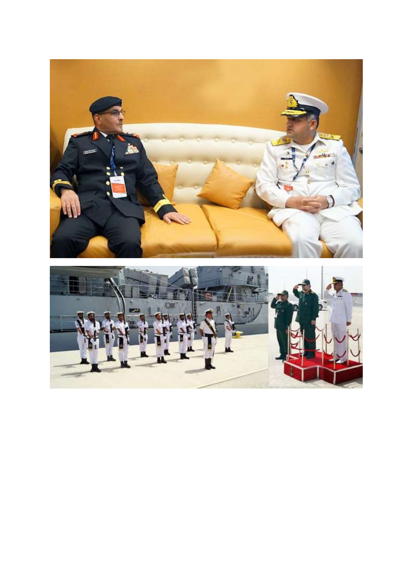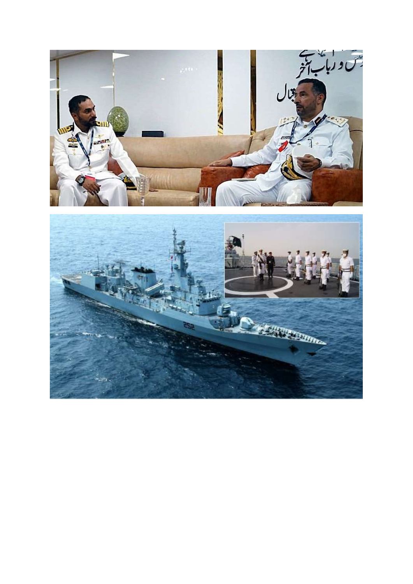